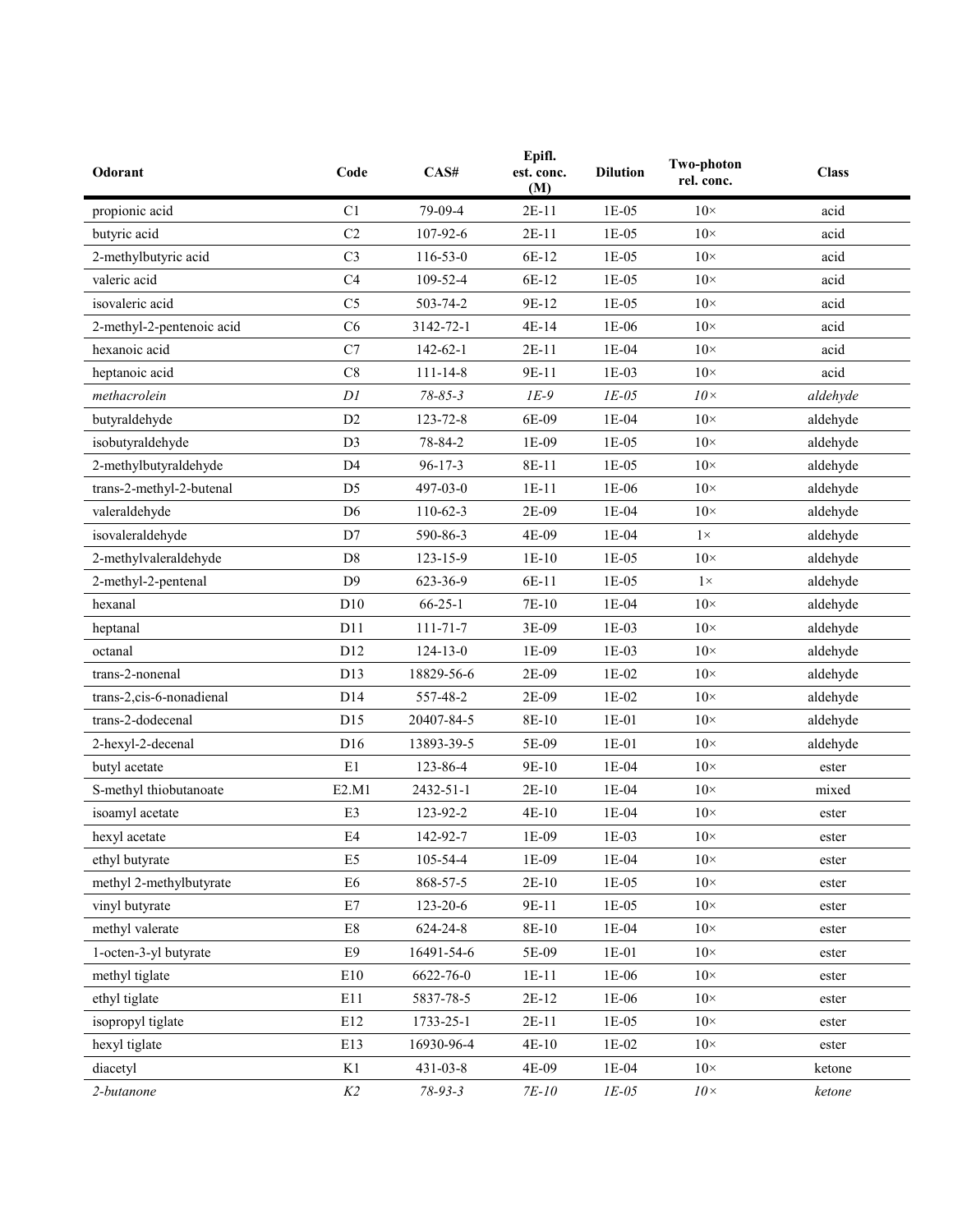| Odorant                   | Code           | CAS#           | Epifl.<br>est. conc.<br>(M) | <b>Dilution</b> | <b>Two-photon</b><br>rel. conc. | <b>Class</b> |
|---------------------------|----------------|----------------|-----------------------------|-----------------|---------------------------------|--------------|
| propionic acid            | C1             | 79-09-4        | $2E-11$                     | $1E-05$         | $10\times$                      | acid         |
| butyric acid              | C <sub>2</sub> | 107-92-6       | $2E-11$                     | $1E-05$         | $10\times$                      | acid         |
| 2-methylbutyric acid      | C <sub>3</sub> | $116 - 53 - 0$ | 6E-12                       | 1E-05           | $10\times$                      | acid         |
| valeric acid              | C <sub>4</sub> | 109-52-4       | 6E-12                       | $1E-05$         | $10\times$                      | acid         |
| isovaleric acid           | C <sub>5</sub> | $503 - 74 - 2$ | 9E-12                       | 1E-05           | $10\times$                      | acid         |
| 2-methyl-2-pentenoic acid | C6             | 3142-72-1      | $4E-14$                     | 1E-06           | $10\times$                      | acid         |
| hexanoic acid             | C7             | $142 - 62 - 1$ | $2E-11$                     | 1E-04           | $10\times$                      | acid         |
| heptanoic acid            | C8             | $111 - 14 - 8$ | 9E-11                       | $1E-03$         | $10\times$                      | acid         |
| methacrolein              | DI             | $78 - 85 - 3$  | $IE-9$                      | $IE-05$         | $10\times$                      | aldehyde     |
| butyraldehyde             | D2             | 123-72-8       | 6E-09                       | $1E-04$         | $10\times$                      | aldehyde     |
| isobutyraldehyde          | D <sub>3</sub> | 78-84-2        | 1E-09                       | 1E-05           | $10\times$                      | aldehyde     |
| 2-methylbutyraldehyde     | D <sub>4</sub> | $96 - 17 - 3$  | 8E-11                       | $1E-05$         | $10\times$                      | aldehyde     |
| trans-2-methyl-2-butenal  | D <sub>5</sub> | 497-03-0       | $1E-11$                     | 1E-06           | $10\times$                      | aldehyde     |
| valeraldehyde             | D <sub>6</sub> | $110-62-3$     | 2E-09                       | $1E-04$         | $10\times$                      | aldehyde     |
| isovaleraldehyde          | D7             | 590-86-3       | 4E-09                       | 1E-04           | $1\times$                       | aldehyde     |
| 2-methylvaleraldehyde     | D <sub>8</sub> | 123-15-9       | $1E-10$                     | $1E-05$         | $10\times$                      | aldehyde     |
| 2-methyl-2-pentenal       | D <sub>9</sub> | 623-36-9       | 6E-11                       | 1E-05           | $1\times$                       | aldehyde     |
| hexanal                   | D10            | $66 - 25 - 1$  | 7E-10                       | $1E-04$         | $10\times$                      | aldehyde     |
| heptanal                  | D11            | $111 - 71 - 7$ | 3E-09                       | $1E-03$         | $10\times$                      | aldehyde     |
| octanal                   | D12            | $124 - 13 - 0$ | 1E-09                       | $1E-03$         | $10\times$                      | aldehyde     |
| trans-2-nonenal           | D13            | 18829-56-6     | 2E-09                       | 1E-02           | $10\times$                      | aldehyde     |
| trans-2,cis-6-nonadienal  | D14            | 557-48-2       | 2E-09                       | 1E-02           | $10\times$                      | aldehyde     |
| trans-2-dodecenal         | D15            | 20407-84-5     | 8E-10                       | $1E-01$         | $10\times$                      | aldehyde     |
| 2-hexyl-2-decenal         | D16            | 13893-39-5     | 5E-09                       | $1E-01$         | $10\times$                      | aldehyde     |
| butyl acetate             | E1             | 123-86-4       | 9E-10                       | 1E-04           | $10\times$                      | ester        |
| S-methyl thiobutanoate    | E2.M1          | 2432-51-1      | $2E-10$                     | $1E-04$         | $10\times$                      | mixed        |
| isoamyl acetate           | E3             | 123-92-2       | 4E-10                       | 1E-04           | $10\times$                      | ester        |
| hexyl acetate             | E4             | 142-92-7       | 1E-09                       | 1E-03           | $10\times$                      | ester        |
| ethyl butyrate            | E <sub>5</sub> | 105-54-4       | 1E-09                       | 1E-04           | $10\times$                      | ester        |
| methyl 2-methylbutyrate   | E <sub>6</sub> | 868-57-5       | $2E-10$                     | $1E-05$         | $10\times$                      | ester        |
| vinyl butyrate            | E7             | 123-20-6       | 9E-11                       | 1E-05           | $10\times$                      | ester        |
| methyl valerate           | E8             | 624-24-8       | 8E-10                       | 1E-04           | $10\times$                      | ester        |
| 1-octen-3-yl butyrate     | E9             | 16491-54-6     | 5E-09                       | $1E-01$         | $10\times$                      | ester        |
| methyl tiglate            | E10            | 6622-76-0      | $1E-11$                     | 1E-06           | $10\times$                      | ester        |
| ethyl tiglate             | E11            | 5837-78-5      | 2E-12                       | 1E-06           | $10\times$                      | ester        |
| isopropyl tiglate         | E12            | 1733-25-1      | 2E-11                       | $1E-05$         | $10\times$                      | ester        |
| hexyl tiglate             | E13            | 16930-96-4     | 4E-10                       | $1E-02$         | $10\times$                      | ester        |
| diacetyl                  | K1             | $431 - 03 - 8$ | 4E-09                       | 1E-04           | $10\times$                      | ketone       |
| 2-butanone                | $K2$           | $78 - 93 - 3$  | 7E-10                       | $IE-05$         | $10\times$                      | ketone       |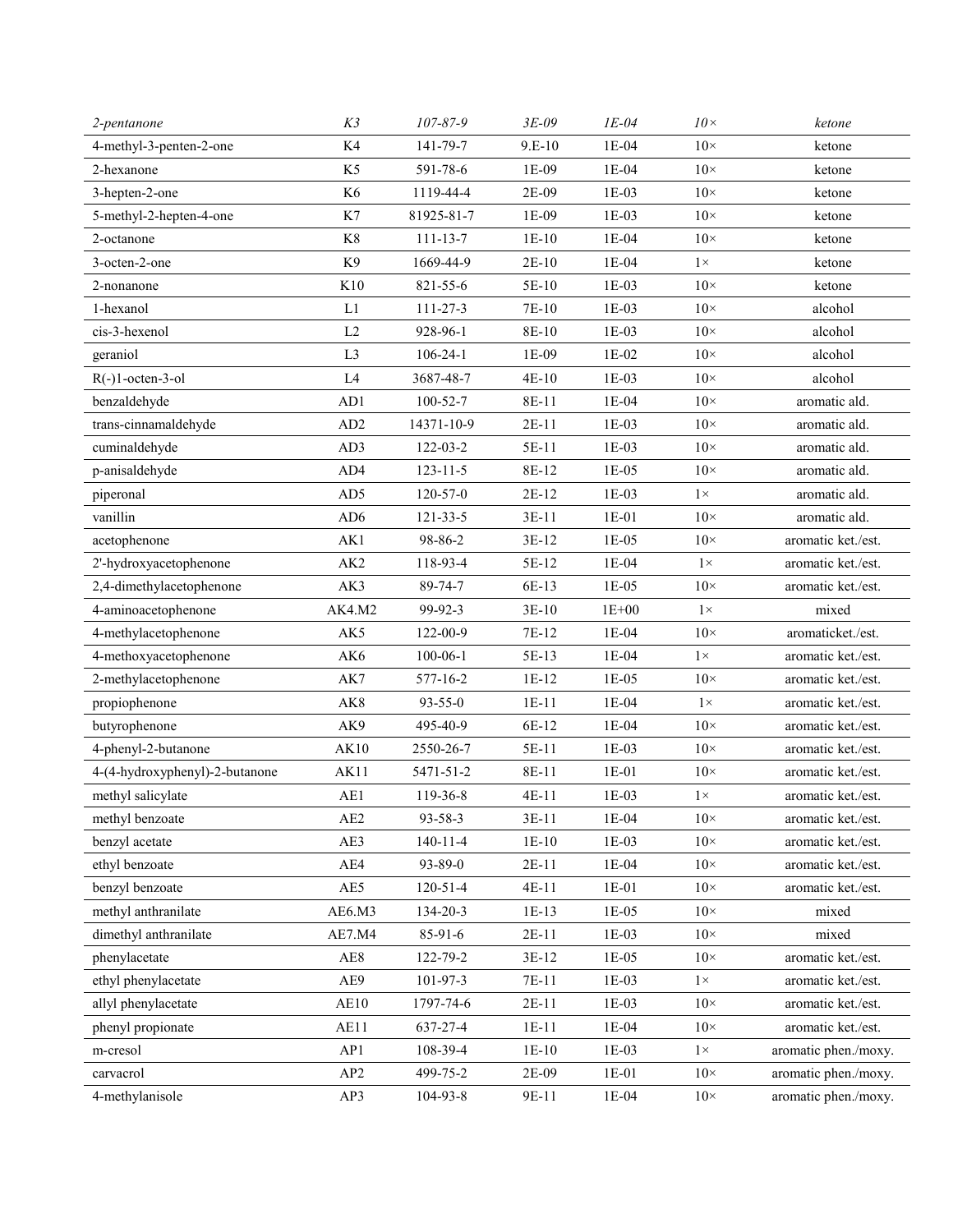| 2-pentanone                    | K3                      | 107-87-9       | $3E-09$  | $IE-04$   | $10\times$ | ketone               |
|--------------------------------|-------------------------|----------------|----------|-----------|------------|----------------------|
| 4-methyl-3-penten-2-one        | K4                      | 141-79-7       | $9.E-10$ | $1E-04$   | $10\times$ | ketone               |
| 2-hexanone                     | K <sub>5</sub>          | 591-78-6       | 1E-09    | 1E-04     | $10\times$ | ketone               |
| 3-hepten-2-one                 | K <sub>6</sub>          | 1119-44-4      | 2E-09    | $1E-03$   | $10\times$ | ketone               |
| 5-methyl-2-hepten-4-one        | K7                      | 81925-81-7     | 1E-09    | 1E-03     | $10\times$ | ketone               |
| 2-octanone                     | K8                      | $111 - 13 - 7$ | $1E-10$  | 1E-04     | $10\times$ | ketone               |
| 3-octen-2-one                  | K <sub>9</sub>          | 1669-44-9      | $2E-10$  | $1E-04$   | $1\times$  | ketone               |
| 2-nonanone                     | K10                     | 821-55-6       | 5E-10    | $1E-03$   | $10\times$ | ketone               |
| 1-hexanol                      | L1                      | 111-27-3       | 7E-10    | $1E-03$   | $10\times$ | alcohol              |
| cis-3-hexenol                  | L2                      | 928-96-1       | 8E-10    | $1E-03$   | $10\times$ | alcohol              |
| geraniol                       | L <sub>3</sub>          | $106 - 24 - 1$ | 1E-09    | $1E-02$   | $10\times$ | alcohol              |
| $R(-)1-octen-3-o1$             | L4                      | 3687-48-7      | $4E-10$  | 1E-03     | $10\times$ | alcohol              |
| benzaldehyde                   | AD1                     | $100 - 52 - 7$ | 8E-11    | 1E-04     | $10\times$ | aromatic ald.        |
| trans-cinnamaldehyde           | AD2                     | 14371-10-9     | $2E-11$  | 1E-03     | $10\times$ | aromatic ald.        |
| cuminaldehyde                  | AD3                     | $122 - 03 - 2$ | 5E-11    | 1E-03     | $10\times$ | aromatic ald.        |
| p-anisaldehyde                 | AD4                     | $123 - 11 - 5$ | 8E-12    | $1E-05$   | $10\times$ | aromatic ald.        |
| piperonal                      | AD5                     | $120 - 57 - 0$ | $2E-12$  | 1E-03     | $1\times$  | aromatic ald.        |
| vanillin                       | AD <sub>6</sub>         | $121 - 33 - 5$ | $3E-11$  | $1E-01$   | $10\times$ | aromatic ald.        |
| acetophenone                   | AK1                     | 98-86-2        | 3E-12    | $1E-05$   | $10\times$ | aromatic ket./est.   |
| 2'-hydroxyacetophenone         | AK <sub>2</sub>         | 118-93-4       | 5E-12    | $1E-04$   | $1\times$  | aromatic ket./est.   |
| 2,4-dimethylacetophenone       | AK3                     | 89-74-7        | 6E-13    | $1E-05$   | $10\times$ | aromatic ket./est.   |
| 4-aminoacetophenone            | AK4.M2                  | 99-92-3        | $3E-10$  | $1E + 00$ | $1\times$  | mixed                |
| 4-methylacetophenone           | AK5                     | 122-00-9       | 7E-12    | 1E-04     | $10\times$ | aromaticket./est.    |
| 4-methoxyacetophenone          | AK6                     | $100 - 06 - 1$ | 5E-13    | 1E-04     | $1\times$  | aromatic ket./est.   |
| 2-methylacetophenone           | AK7                     | 577-16-2       | $1E-12$  | 1E-05     | $10\times$ | aromatic ket./est.   |
| propiophenone                  | AK8                     | $93 - 55 - 0$  | $1E-11$  | 1E-04     | $1\times$  | aromatic ket./est.   |
| butyrophenone                  | AK9                     | 495-40-9       | 6E-12    | 1E-04     | $10\times$ | aromatic ket./est.   |
| 4-phenyl-2-butanone            | <b>AK10</b>             | 2550-26-7      | 5E-11    | 1E-03     | $10\times$ | aromatic ket./est.   |
| 4-(4-hydroxyphenyl)-2-butanone | AK11                    | 5471-51-2      | 8E-11    | $1E-01$   | $10\times$ | aromatic ket./est.   |
| methyl salicylate              | AE1                     | 119-36-8       | 4E-11    | 1E-03     | $1\times$  | aromatic ket./est.   |
| methyl benzoate                | $\mathbf{A}\mathbf{E2}$ | 93-58-3        | $3E-11$  | $1E-04$   | $10\times$ | aromatic ket./est.   |
| benzyl acetate                 | AE3                     | $140 - 11 - 4$ | $1E-10$  | $1E-03$   | $10\times$ | aromatic ket./est.   |
| ethyl benzoate                 | AE4                     | 93-89-0        | $2E-11$  | 1E-04     | $10\times$ | aromatic ket./est.   |
| benzyl benzoate                | AE5                     | $120 - 51 - 4$ | $4E-11$  | $1E-01$   | $10\times$ | aromatic ket./est.   |
| methyl anthranilate            | AE6.M3                  | 134-20-3       | 1E-13    | $1E-05$   | $10\times$ | mixed                |
| dimethyl anthranilate          | AE7.M4                  | 85-91-6        | $2E-11$  | 1E-03     | $10\times$ | mixed                |
| phenylacetate                  | $\rm{A}E8$              | 122-79-2       | 3E-12    | 1E-05     | $10\times$ | aromatic ket./est.   |
| ethyl phenylacetate            | AE9                     | $101-97-3$     | 7E-11    | 1E-03     | $1\times$  | aromatic ket./est.   |
| allyl phenylacetate            | AE10                    | 1797-74-6      | $2E-11$  | $1E-03$   | $10\times$ | aromatic ket./est.   |
| phenyl propionate              | AE11                    | 637-27-4       | $1E-11$  | 1E-04     | $10\times$ | aromatic ket./est.   |
| m-cresol                       | AP1                     | 108-39-4       | $1E-10$  | 1E-03     | $1\times$  | aromatic phen./moxy. |
| carvacrol                      | AP2                     | 499-75-2       | 2E-09    | 1E-01     | $10\times$ | aromatic phen./moxy. |
| 4-methylanisole                | AP3                     | 104-93-8       | 9E-11    | 1E-04     | $10\times$ | aromatic phen./moxy. |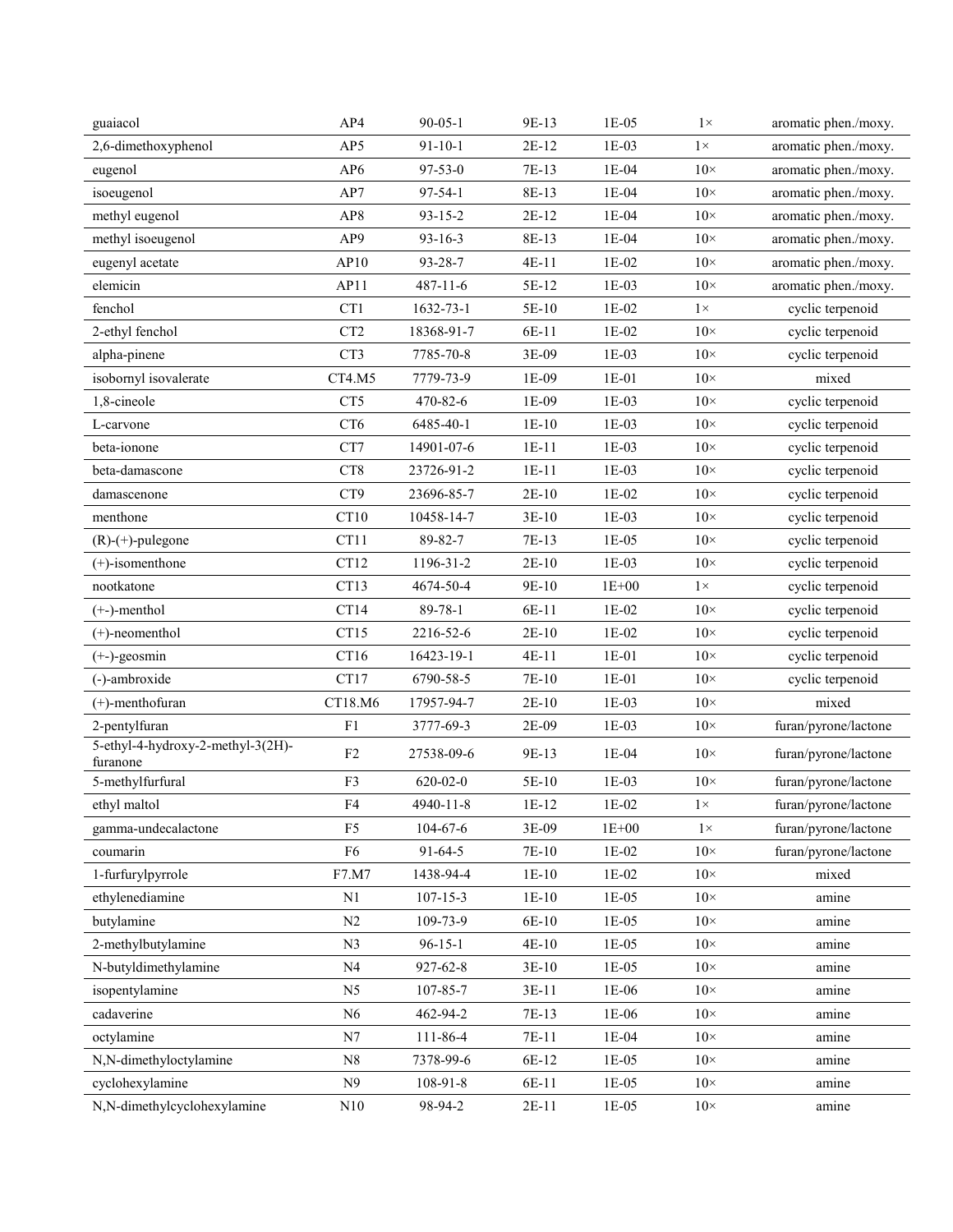| guaiacol                                      | AP4             | $90 - 05 - 1$  | 9E-13   | 1E-05     | $1\times$  | aromatic phen./moxy. |
|-----------------------------------------------|-----------------|----------------|---------|-----------|------------|----------------------|
| 2,6-dimethoxyphenol                           | AP5             | $91 - 10 - 1$  | $2E-12$ | $1E-03$   | $1\times$  | aromatic phen./moxy. |
| eugenol                                       | AP <sub>6</sub> | $97 - 53 - 0$  | 7E-13   | $1E-04$   | $10\times$ | aromatic phen./moxy. |
| isoeugenol                                    | AP7             | $97 - 54 - 1$  | 8E-13   | $1E-04$   | $10\times$ | aromatic phen./moxy. |
| methyl eugenol                                | AP8             | $93 - 15 - 2$  | 2E-12   | 1E-04     | $10\times$ | aromatic phen./moxy. |
| methyl isoeugenol                             | AP9             | $93 - 16 - 3$  | 8E-13   | 1E-04     | $10\times$ | aromatic phen./moxy. |
| eugenyl acetate                               | AP10            | 93-28-7        | $4E-11$ | 1E-02     | $10\times$ | aromatic phen./moxy. |
| elemicin                                      | AP11            | $487 - 11 - 6$ | 5E-12   | 1E-03     | $10\times$ | aromatic phen./moxy. |
| fenchol                                       | CT1             | 1632-73-1      | 5E-10   | $1E-02$   | $1\times$  | cyclic terpenoid     |
| 2-ethyl fenchol                               | CT <sub>2</sub> | 18368-91-7     | 6E-11   | 1E-02     | $10\times$ | cyclic terpenoid     |
| alpha-pinene                                  | CT3             | 7785-70-8      | 3E-09   | $1E-03$   | $10\times$ | cyclic terpenoid     |
| isobornyl isovalerate                         | CT4.M5          | 7779-73-9      | 1E-09   | 1E-01     | $10\times$ | mixed                |
| 1,8-cineole                                   | CT <sub>5</sub> | 470-82-6       | 1E-09   | 1E-03     | $10\times$ | cyclic terpenoid     |
| L-carvone                                     | CT <sub>6</sub> | 6485-40-1      | $1E-10$ | 1E-03     | $10\times$ | cyclic terpenoid     |
| beta-ionone                                   | CT7             | 14901-07-6     | $1E-11$ | 1E-03     | $10\times$ | cyclic terpenoid     |
| beta-damascone                                | CT <sub>8</sub> | 23726-91-2     | $1E-11$ | $1E-03$   | $10\times$ | cyclic terpenoid     |
| damascenone                                   | CT9             | 23696-85-7     | $2E-10$ | 1E-02     | $10\times$ | cyclic terpenoid     |
| menthone                                      | CT10            | 10458-14-7     | $3E-10$ | $1E-03$   | $10\times$ | cyclic terpenoid     |
| $(R)-(+)$ -pulegone                           | CT11            | 89-82-7        | 7E-13   | 1E-05     | $10\times$ | cyclic terpenoid     |
| $(+)$ -isomenthone                            | CT12            | 1196-31-2      | $2E-10$ | $1E-03$   | $10\times$ | cyclic terpenoid     |
| nootkatone                                    | CT13            | 4674-50-4      | 9E-10   | $1E+00$   | $1\times$  | cyclic terpenoid     |
| $(+-)$ -menthol                               | CT14            | 89-78-1        | 6E-11   | 1E-02     | $10\times$ | cyclic terpenoid     |
| $(+)$ -neomenthol                             | CT15            | 2216-52-6      | $2E-10$ | 1E-02     | $10\times$ | cyclic terpenoid     |
| $(+-)$ -geosmin                               | CT16            | 16423-19-1     | $4E-11$ | $1E-01$   | $10\times$ | cyclic terpenoid     |
| (-)-ambroxide                                 | CT17            | 6790-58-5      | 7E-10   | $1E-01$   | $10\times$ | cyclic terpenoid     |
| $(+)$ -menthofuran                            | CT18.M6         | 17957-94-7     | $2E-10$ | 1E-03     | $10\times$ | mixed                |
| 2-pentylfuran                                 | F <sub>1</sub>  | 3777-69-3      | 2E-09   | 1E-03     | $10\times$ | furan/pyrone/lactone |
| 5-ethyl-4-hydroxy-2-methyl-3(2H)-<br>furanone | F <sub>2</sub>  | 27538-09-6     | 9E-13   | 1E-04     | $10\times$ | furan/pyrone/lactone |
| 5-methylfurfural                              | F3              | $620 - 02 - 0$ | 5E-10   | $1E-03$   | $10\times$ | furan/pyrone/lactone |
| ethyl maltol                                  | F <sub>4</sub>  | 4940-11-8      | $1E-12$ | $1E-02$   | $1\times$  | furan/pyrone/lactone |
| gamma-undecalactone                           | F <sub>5</sub>  | 104-67-6       | 3E-09   | $1E + 00$ | $1\times$  | furan/pyrone/lactone |
| coumarin                                      | F6              | $91 - 64 - 5$  | 7E-10   | $1E-02$   | $10\times$ | furan/pyrone/lactone |
| 1-furfurylpyrrole                             | F7.M7           | 1438-94-4      | $1E-10$ | $1E-02$   | $10\times$ | mixed                |
| ethylenediamine                               | N1              | $107 - 15 - 3$ | $1E-10$ | $1E-05$   | $10\times$ | amine                |
| butylamine                                    | N2              | 109-73-9       | 6E-10   | $1E-05$   | $10\times$ | amine                |
| 2-methylbutylamine                            | N <sub>3</sub>  | $96-15-1$      | $4E-10$ | $1E-05$   | $10\times$ | amine                |
| N-butyldimethylamine                          | N <sub>4</sub>  | 927-62-8       | 3E-10   | 1E-05     | $10\times$ | amine                |
| isopentylamine                                | N <sub>5</sub>  | 107-85-7       | $3E-11$ | 1E-06     | $10\times$ | amine                |
| cadaverine                                    | N6              | 462-94-2       | 7E-13   | 1E-06     | $10\times$ | amine                |
| octylamine                                    | N7              | 111-86-4       | 7E-11   | $1E-04$   | $10\times$ | amine                |
| N,N-dimethyloctylamine                        | N8              | 7378-99-6      | 6E-12   | 1E-05     | $10\times$ | amine                |
| cyclohexylamine                               | N9              | 108-91-8       | 6E-11   | $1E-05$   | $10\times$ | amine                |
| N,N-dimethylcyclohexylamine                   | $\rm N10$       | 98-94-2        | $2E-11$ | $1E-05$   | $10\times$ | amine                |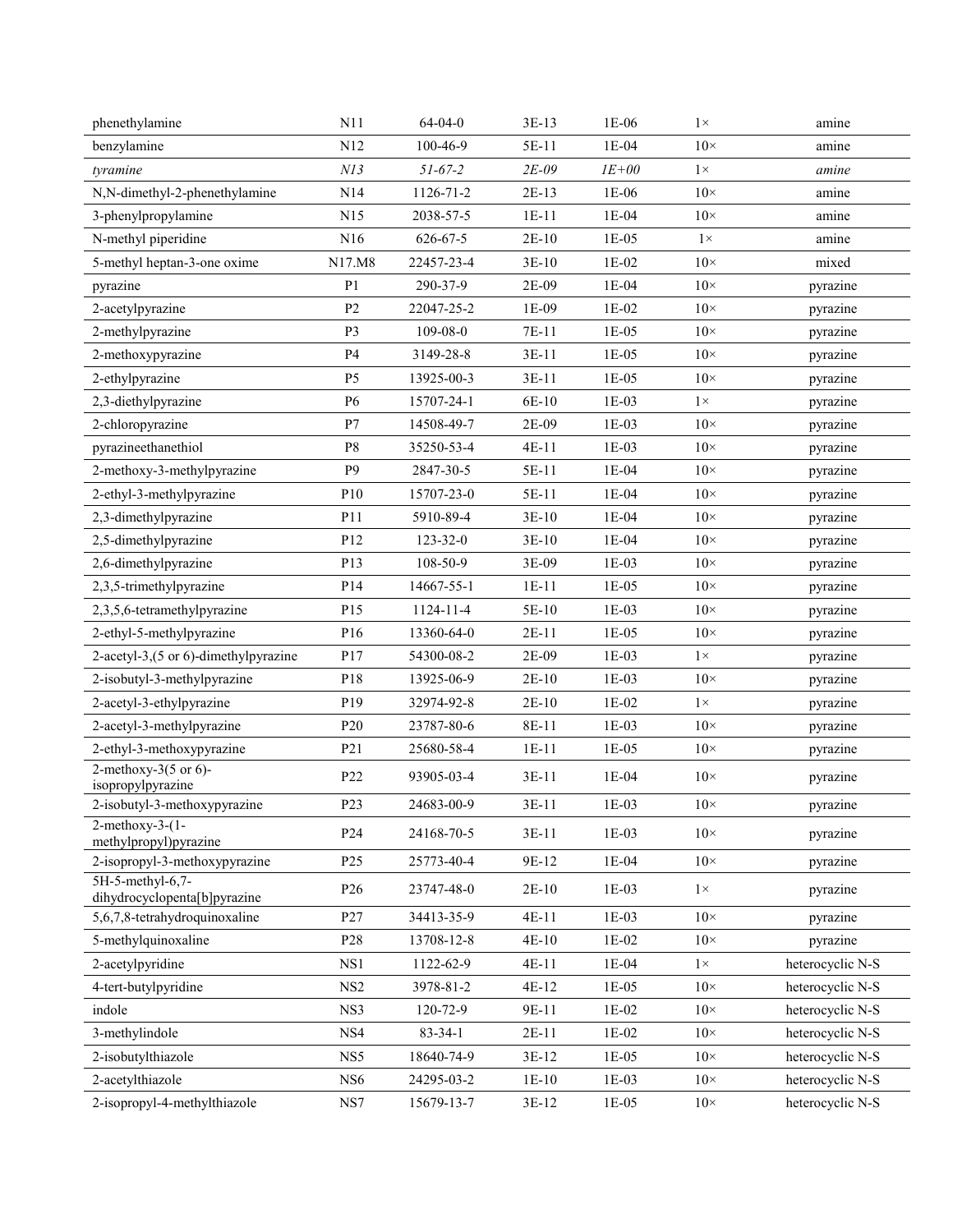| phenethylamine                                   | N11             | $64 - 04 - 0$  | $3E-13$ | 1E-06     | $1\times$  | amine            |
|--------------------------------------------------|-----------------|----------------|---------|-----------|------------|------------------|
| benzylamine                                      | N12             | 100-46-9       | 5E-11   | $1E-04$   | $10\times$ | amine            |
| tyramine                                         | NI3             | $51 - 67 - 2$  | $2E-09$ | $IE + 00$ | $1\times$  | amine            |
| N,N-dimethyl-2-phenethylamine                    | N14             | 1126-71-2      | 2E-13   | $1E-06$   | $10\times$ | amine            |
| 3-phenylpropylamine                              | N15             | 2038-57-5      | $1E-11$ | 1E-04     | $10\times$ | amine            |
| N-methyl piperidine                              | N16             | $626 - 67 - 5$ | $2E-10$ | $1E-05$   | $1\times$  | amine            |
| 5-methyl heptan-3-one oxime                      | N17.M8          | 22457-23-4     | $3E-10$ | $1E-02$   | $10\times$ | mixed            |
| pyrazine                                         | P <sub>1</sub>  | 290-37-9       | 2E-09   | 1E-04     | $10\times$ | pyrazine         |
| 2-acetylpyrazine                                 | P <sub>2</sub>  | 22047-25-2     | 1E-09   | $1E-02$   | $10\times$ | pyrazine         |
| 2-methylpyrazine                                 | P3              | 109-08-0       | 7E-11   | 1E-05     | $10\times$ | pyrazine         |
| 2-methoxypyrazine                                | P4              | 3149-28-8      | $3E-11$ | $1E-05$   | $10\times$ | pyrazine         |
| 2-ethylpyrazine                                  | P5              | 13925-00-3     | $3E-11$ | 1E-05     | $10\times$ | pyrazine         |
| 2,3-diethylpyrazine                              | P6              | 15707-24-1     | 6E-10   | 1E-03     | $1\times$  | pyrazine         |
| 2-chloropyrazine                                 | P7              | 14508-49-7     | 2E-09   | $1E-03$   | $10\times$ | pyrazine         |
| pyrazineethanethiol                              | P8              | 35250-53-4     | 4E-11   | 1E-03     | $10\times$ | pyrazine         |
| 2-methoxy-3-methylpyrazine                       | P <sub>9</sub>  | 2847-30-5      | 5E-11   | 1E-04     | $10\times$ | pyrazine         |
| 2-ethyl-3-methylpyrazine                         | P10             | 15707-23-0     | 5E-11   | 1E-04     | $10\times$ | pyrazine         |
| 2,3-dimethylpyrazine                             | P11             | 5910-89-4      | $3E-10$ | 1E-04     | $10\times$ | pyrazine         |
| 2,5-dimethylpyrazine                             | P12             | 123-32-0       | $3E-10$ | 1E-04     | $10\times$ | pyrazine         |
| 2,6-dimethylpyrazine                             | P <sub>13</sub> | 108-50-9       | 3E-09   | $1E-03$   | $10\times$ | pyrazine         |
| 2,3,5-trimethylpyrazine                          | P14             | 14667-55-1     | $1E-11$ | 1E-05     | $10\times$ | pyrazine         |
| 2,3,5,6-tetramethylpyrazine                      | P15             | 1124-11-4      | 5E-10   | 1E-03     | $10\times$ | pyrazine         |
| 2-ethyl-5-methylpyrazine                         | P16             | 13360-64-0     | $2E-11$ | 1E-05     | $10\times$ | pyrazine         |
| 2-acetyl-3,(5 or 6)-dimethylpyrazine             | P17             | 54300-08-2     | 2E-09   | 1E-03     | $1\times$  | pyrazine         |
| 2-isobutyl-3-methylpyrazine                      | P18             | 13925-06-9     | $2E-10$ | 1E-03     | $10\times$ | pyrazine         |
| 2-acetyl-3-ethylpyrazine                         | P19             | 32974-92-8     | $2E-10$ | $1E-02$   | $1\times$  | pyrazine         |
| 2-acetyl-3-methylpyrazine                        | P <sub>20</sub> | 23787-80-6     | 8E-11   | 1E-03     | $10\times$ | pyrazine         |
| 2-ethyl-3-methoxypyrazine                        | P21             | 25680-58-4     | $1E-11$ | $1E-05$   | $10\times$ | pyrazine         |
| 2-methoxy-3(5 or 6)-<br>isopropylpyrazine        | P22             | 93905-03-4     | $3E-11$ | 1E-04     | $10\times$ | pyrazine         |
| 2-isobutyl-3-methoxypyrazine                     | P <sub>23</sub> | 24683-00-9     | $3E-11$ | $1E-03$   | $10\times$ | pyrazine         |
| $2$ -methoxy-3- $(1 -$<br>methylpropyl)pyrazine  | P24             | 24168-70-5     | $3E-11$ | 1E-03     | $10\times$ | pyrazine         |
| 2-isopropyl-3-methoxypyrazine                    | P <sub>25</sub> | 25773-40-4     | 9E-12   | $1E-04$   | $10\times$ | pyrazine         |
| 5H-5-methyl-6,7-<br>dihydrocyclopenta[b]pyrazine | P <sub>26</sub> | 23747-48-0     | $2E-10$ | 1E-03     | $1\times$  | pyrazine         |
| 5,6,7,8-tetrahydroquinoxaline                    | P27             | 34413-35-9     | 4E-11   | 1E-03     | $10\times$ | pyrazine         |
| 5-methylquinoxaline                              | P28             | 13708-12-8     | $4E-10$ | $1E-02$   | $10\times$ | pyrazine         |
| 2-acetylpyridine                                 | NS1             | 1122-62-9      | $4E-11$ | 1E-04     | $1\times$  | heterocyclic N-S |
| 4-tert-butylpyridine                             | NS2             | 3978-81-2      | 4E-12   | $1E-05$   | $10\times$ | heterocyclic N-S |
| indole                                           | NS3             | 120-72-9       | 9E-11   | 1E-02     | $10\times$ | heterocyclic N-S |
| 3-methylindole                                   | NS4             | $83 - 34 - 1$  | $2E-11$ | 1E-02     | $10\times$ | heterocyclic N-S |
| 2-isobutylthiazole                               | NS5             | 18640-74-9     | 3E-12   | $1E-05$   | $10\times$ | heterocyclic N-S |
| 2-acetylthiazole                                 | NS <sub>6</sub> | 24295-03-2     | $1E-10$ | 1E-03     | $10\times$ | heterocyclic N-S |
| 2-isopropyl-4-methylthiazole                     | $_{\rm NS7}$    | 15679-13-7     | 3E-12   | $1E-05$   | $10\times$ | heterocyclic N-S |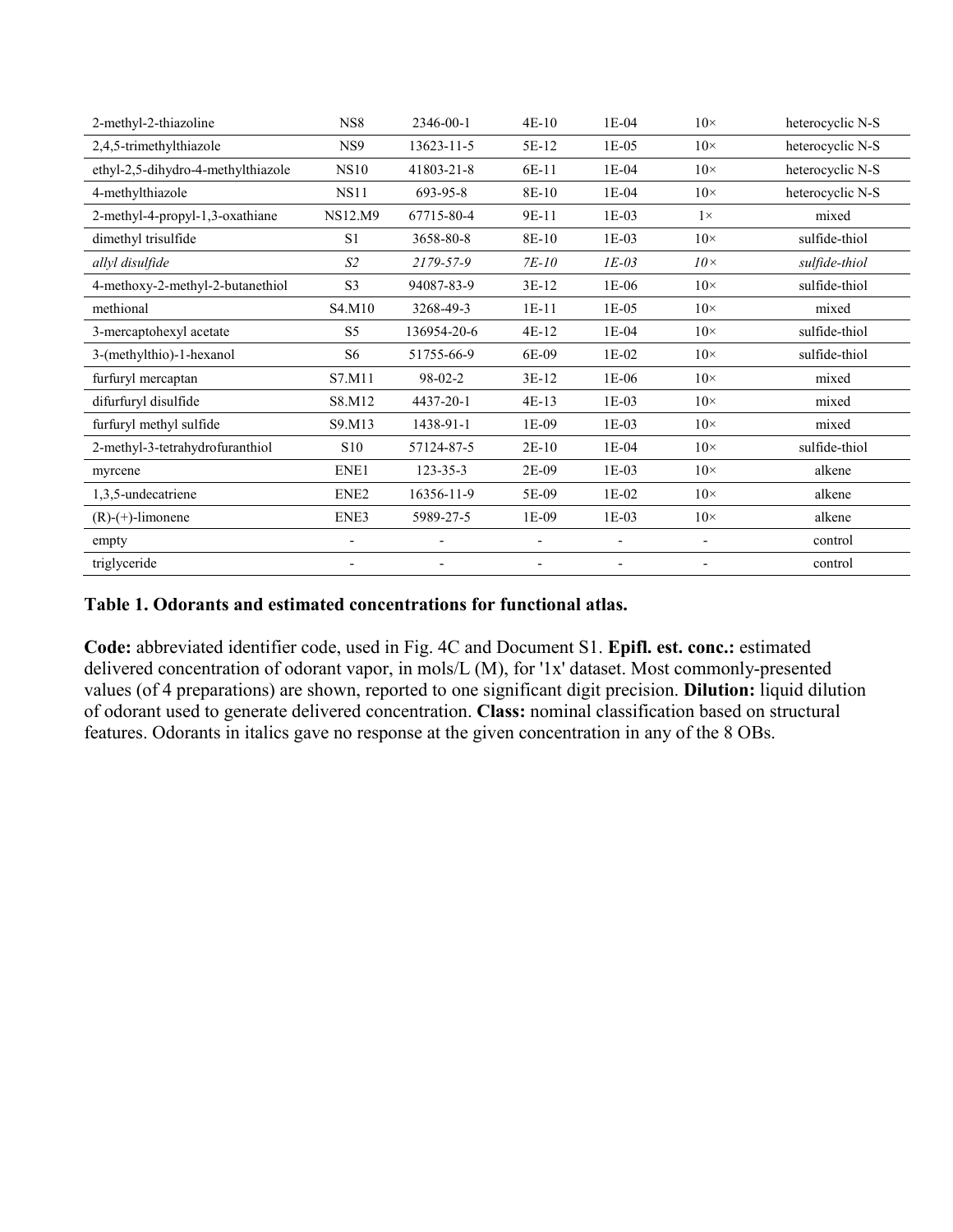| 2-methyl-2-thiazoline              | NS8                      | 2346-00-1                | 4E-10                    | 1E-04                    | $10\times$               | heterocyclic N-S |
|------------------------------------|--------------------------|--------------------------|--------------------------|--------------------------|--------------------------|------------------|
| 2,4,5-trimethylthiazole            | NS <sub>9</sub>          | 13623-11-5               | 5E-12                    | 1E-05                    | $10\times$               | heterocyclic N-S |
| ethyl-2,5-dihydro-4-methylthiazole | <b>NS10</b>              | 41803-21-8               | 6E-11                    | 1E-04                    | $10\times$               | heterocyclic N-S |
| 4-methylthiazole                   | <b>NS11</b>              | 693-95-8                 | 8E-10                    | 1E-04                    | $10\times$               | heterocyclic N-S |
| 2-methyl-4-propyl-1,3-oxathiane    | <b>NS12.M9</b>           | 67715-80-4               | 9E-11                    | $1E-03$                  | $1\times$                | mixed            |
| dimethyl trisulfide                | S <sub>1</sub>           | 3658-80-8                | 8E-10                    | 1E-03                    | $10\times$               | sulfide-thiol    |
| allyl disulfide                    | S <sub>2</sub>           | 2179-57-9                | $7E-10$                  | $IE-03$                  | $10\times$               | sulfide-thiol    |
| 4-methoxy-2-methyl-2-butanethiol   | S <sub>3</sub>           | 94087-83-9               | 3E-12                    | 1E-06                    | $10\times$               | sulfide-thiol    |
| methional                          | S4.M10                   | 3268-49-3                | $1E-11$                  | 1E-05                    | $10\times$               | mixed            |
| 3-mercaptohexyl acetate            | S <sub>5</sub>           | 136954-20-6              | 4E-12                    | 1E-04                    | $10\times$               | sulfide-thiol    |
| 3-(methylthio)-1-hexanol           | S <sub>6</sub>           | 51755-66-9               | 6E-09                    | 1E-02                    | $10\times$               | sulfide-thiol    |
| furfuryl mercaptan                 | S7.M11                   | $98 - 02 - 2$            | 3E-12                    | 1E-06                    | $10\times$               | mixed            |
| difurfuryl disulfide               | S8.M12                   | 4437-20-1                | $4E-13$                  | 1E-03                    | $10\times$               | mixed            |
| furfuryl methyl sulfide            | S9.M13                   | 1438-91-1                | 1E-09                    | 1E-03                    | $10\times$               | mixed            |
| 2-methyl-3-tetrahydrofuranthiol    | S <sub>10</sub>          | 57124-87-5               | $2E-10$                  | 1E-04                    | $10\times$               | sulfide-thiol    |
| myrcene                            | ENE1                     | $123 - 35 - 3$           | $2E-09$                  | 1E-03                    | $10\times$               | alkene           |
| 1,3,5-undecatriene                 | ENE <sub>2</sub>         | 16356-11-9               | 5E-09                    | $1E-02$                  | $10\times$               | alkene           |
| $(R)-(+)$ -limonene                | ENE3                     | 5989-27-5                | 1E-09                    | 1E-03                    | $10\times$               | alkene           |
| empty                              | $\overline{\phantom{a}}$ | $\overline{\phantom{0}}$ | $\overline{\phantom{0}}$ | $\overline{\phantom{a}}$ | $\overline{\phantom{a}}$ | control          |
| triglyceride                       |                          |                          |                          |                          |                          | control          |

## **Table 1. Odorants and estimated concentrations for functional atlas.**

**Code:** abbreviated identifier code, used in Fig. 4C and Document S1. **Epifl. est. conc.:** estimated delivered concentration of odorant vapor, in mols/L (M), for '1x' dataset. Most commonly-presented values (of 4 preparations) are shown, reported to one significant digit precision. **Dilution:** liquid dilution of odorant used to generate delivered concentration. **Class:** nominal classification based on structural features. Odorants in italics gave no response at the given concentration in any of the 8 OBs.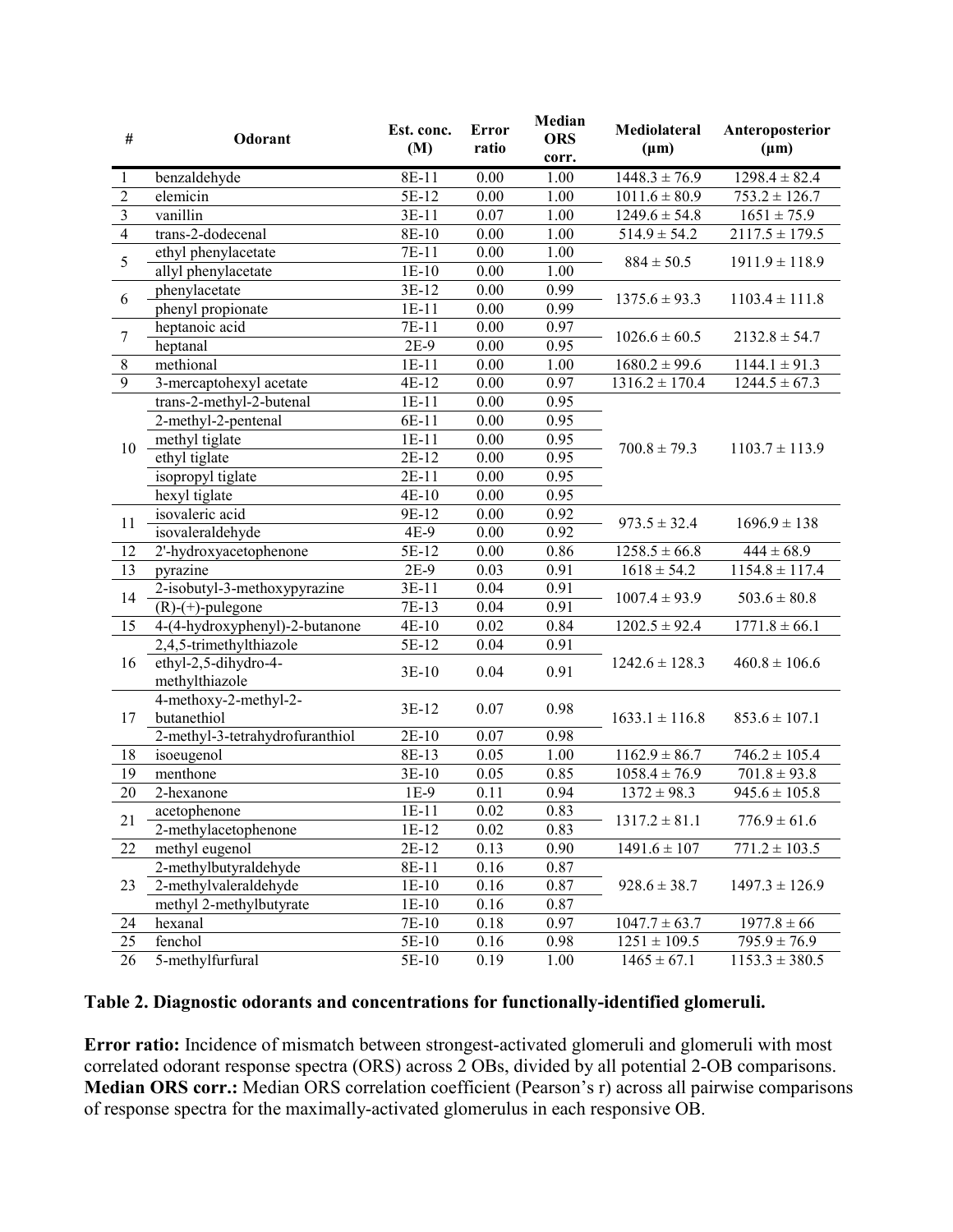| $\#$                    | Odorant                                | Est. conc.<br>(M)  | <b>Error</b><br>ratio | Median<br><b>ORS</b><br>corr. | Mediolateral<br>$(\mu m)$                                                                                                                                                                                                                                                                                                                                                                  | Anteroposterior<br>$(\mu m)$                |  |
|-------------------------|----------------------------------------|--------------------|-----------------------|-------------------------------|--------------------------------------------------------------------------------------------------------------------------------------------------------------------------------------------------------------------------------------------------------------------------------------------------------------------------------------------------------------------------------------------|---------------------------------------------|--|
| $\mathbf{1}$            | benzaldehyde                           | 8E-11              | 0.00                  | 1.00                          | $1448.3 \pm 76.9$                                                                                                                                                                                                                                                                                                                                                                          | $1298.4 \pm 82.4$                           |  |
| $\overline{2}$          | elemicin                               | $\overline{5E-12}$ | 0.00                  | 1.00                          | $1011.6 \pm 80.9$                                                                                                                                                                                                                                                                                                                                                                          | $753.2 \pm 126.7$                           |  |
| $\overline{\mathbf{3}}$ | vanillin                               | $3E-11$            | 0.07                  | 1.00                          | $1249.6 \pm 54.8$                                                                                                                                                                                                                                                                                                                                                                          | $\sqrt{1651} \pm 75.9$                      |  |
| $\overline{4}$          | trans-2-dodecenal                      | 8E-10              | 0.00                  | 1.00                          | $514.9 \pm 54.2$                                                                                                                                                                                                                                                                                                                                                                           | $\frac{2117.5 \pm 179.5}{2117.5 \pm 179.5}$ |  |
| 5                       | ethyl phenylacetate                    | 7E-11              | 0.00                  | 1.00                          |                                                                                                                                                                                                                                                                                                                                                                                            |                                             |  |
|                         | allyl phenylacetate                    | $1E-10$            | 0.00                  | 1.00                          | $884 \pm 50.5$<br>$1375.6 \pm 93.3$<br>$1026.6 \pm 60.5$<br>$1680.2 \pm 99.6$<br>$1316.2 \pm 170.4$<br>$700.8 \pm 79.3$<br>$973.5 \pm 32.4$<br>$1258.5 \pm 66.8$<br>$1618 \pm 54.2$<br>$1007.4 \pm 93.9$<br>$1202.5 \pm 92.4$<br>$1242.6 \pm 128.3$<br>$1633.1 \pm 116.8$<br>$1162.9 \pm 86.7$<br>$\overline{1058.4} \pm 76.9$<br>$1372 \pm 98.3$<br>$1317.2 \pm 81.1$<br>$1491.6 \pm 107$ | $1911.9 \pm 118.9$                          |  |
|                         | phenylacetate                          | 3E-12              | 0.00                  | 0.99                          |                                                                                                                                                                                                                                                                                                                                                                                            |                                             |  |
| 6                       | phenyl propionate                      | $1E-11$            | 0.00                  | 0.99                          | $928.6 \pm 38.7$<br>$1047.7 \pm 63.7$<br>$1251 \pm 109.5$<br>$1465 \pm 67.1$                                                                                                                                                                                                                                                                                                               | $1103.4 \pm 111.8$                          |  |
| $\boldsymbol{7}$        | heptanoic acid                         | $7E-11$            | 0.00                  | 0.97                          |                                                                                                                                                                                                                                                                                                                                                                                            |                                             |  |
|                         | heptanal                               | $2E-9$             | 0.00                  | 0.95                          |                                                                                                                                                                                                                                                                                                                                                                                            | $2132.8 \pm 54.7$                           |  |
| $\,8\,$                 | methional                              | $1E-11$            | 0.00                  | 1.00                          |                                                                                                                                                                                                                                                                                                                                                                                            | $1144.1 \pm 91.3$                           |  |
| $\overline{9}$          | 3-mercaptohexyl acetate                | 4E-12              | 0.00                  | 0.97                          |                                                                                                                                                                                                                                                                                                                                                                                            | $1244.5 \pm 67.3$                           |  |
|                         | trans-2-methyl-2-butenal               | $1E-11$            | 0.00                  | 0.95                          |                                                                                                                                                                                                                                                                                                                                                                                            |                                             |  |
|                         | 2-methyl-2-pentenal                    | 6E-11              | 0.00                  | 0.95                          |                                                                                                                                                                                                                                                                                                                                                                                            |                                             |  |
|                         | methyl tiglate                         | $1E-11$            | 0.00                  | 0.95                          |                                                                                                                                                                                                                                                                                                                                                                                            |                                             |  |
| 10                      | ethyl tiglate                          | $2E-12$            | 0.00                  | 0.95                          |                                                                                                                                                                                                                                                                                                                                                                                            | $1103.7 \pm 113.9$                          |  |
|                         | isopropyl tiglate                      | $2E-11$            | 0.00                  | 0.95                          |                                                                                                                                                                                                                                                                                                                                                                                            |                                             |  |
|                         | hexyl tiglate                          | $4E-10$            | 0.00                  | 0.95                          |                                                                                                                                                                                                                                                                                                                                                                                            |                                             |  |
|                         | isovaleric acid                        | 9E-12              | 0.00                  | 0.92                          |                                                                                                                                                                                                                                                                                                                                                                                            | $1696.9 \pm 138$                            |  |
| 11                      | isovaleraldehyde                       | 4E-9               | 0.00                  | 0.92                          |                                                                                                                                                                                                                                                                                                                                                                                            |                                             |  |
| 12                      | 2'-hydroxyacetophenone                 | 5E-12              | 0.00                  | 0.86                          |                                                                                                                                                                                                                                                                                                                                                                                            | $444 \pm 68.9$                              |  |
| 13                      | pyrazine                               | $2E-9$             | 0.03                  | 0.91                          |                                                                                                                                                                                                                                                                                                                                                                                            | $1154.8 \pm 117.4$                          |  |
|                         | 2-isobutyl-3-methoxypyrazine           | $3E-11$            | 0.04                  | 0.91                          |                                                                                                                                                                                                                                                                                                                                                                                            | $503.6 \pm 80.8$                            |  |
| 14                      | $(R)-(+)$ -pulegone                    | 7E-13              | 0.04                  | 0.91                          |                                                                                                                                                                                                                                                                                                                                                                                            |                                             |  |
| 15                      | 4-(4-hydroxyphenyl)-2-butanone         | $4E-10$            | 0.02                  | 0.84                          |                                                                                                                                                                                                                                                                                                                                                                                            | $1771.8 \pm 66.1$                           |  |
|                         | 2,4,5-trimethylthiazole                | 5E-12              | 0.04                  | 0.91                          |                                                                                                                                                                                                                                                                                                                                                                                            |                                             |  |
| 16                      | ethyl-2,5-dihydro-4-<br>methylthiazole | 3E-10              | 0.04                  | 0.91                          |                                                                                                                                                                                                                                                                                                                                                                                            | $460.8 \pm 106.6$                           |  |
| 17                      | 4-methoxy-2-methyl-2-<br>butanethiol   | 3E-12              | 0.07                  | 0.98                          |                                                                                                                                                                                                                                                                                                                                                                                            | $853.6 \pm 107.1$                           |  |
|                         | 2-methyl-3-tetrahydrofuranthiol        | $2E-10$            | 0.07                  | 0.98                          |                                                                                                                                                                                                                                                                                                                                                                                            |                                             |  |
| 18                      | isoeugenol                             | 8E-13              | 0.05                  | 1.00                          |                                                                                                                                                                                                                                                                                                                                                                                            | $746.2 \pm 105.4$                           |  |
| 19                      | menthone                               | $3E-10$            | 0.05                  | 0.85                          |                                                                                                                                                                                                                                                                                                                                                                                            | $\overline{701.8} \pm 93.8$                 |  |
| 20                      | 2-hexanone                             | $1E-9$             | 0.11                  | 0.94                          |                                                                                                                                                                                                                                                                                                                                                                                            | $945.6 \pm 105.8$                           |  |
| 21                      | acetophenone                           | $1E-11$            | $0.02\,$              | 0.83                          |                                                                                                                                                                                                                                                                                                                                                                                            | $776.9 \pm 61.6$                            |  |
|                         | 2-methylacetophenone                   | $1E-12$            | 0.02                  | 0.83                          |                                                                                                                                                                                                                                                                                                                                                                                            |                                             |  |
| 22                      | methyl eugenol                         | $2E-12$            | 0.13                  | 0.90                          |                                                                                                                                                                                                                                                                                                                                                                                            | $771.2 \pm 103.5$                           |  |
|                         | 2-methylbutyraldehyde                  | $8E-11$            | 0.16                  | 0.87                          |                                                                                                                                                                                                                                                                                                                                                                                            |                                             |  |
| 23                      | 2-methylvaleraldehyde                  | $1E-10$            | 0.16                  | 0.87                          |                                                                                                                                                                                                                                                                                                                                                                                            | $1497.3 \pm 126.9$                          |  |
|                         | methyl 2-methylbutyrate                | $1E-10$            | 0.16                  | 0.87                          |                                                                                                                                                                                                                                                                                                                                                                                            |                                             |  |
| 24                      | hexanal                                | 7E-10              | 0.18                  | 0.97                          |                                                                                                                                                                                                                                                                                                                                                                                            | $1977.8 \pm 66$                             |  |
| 25                      | fenchol                                | 5E-10              | 0.16                  | 0.98                          |                                                                                                                                                                                                                                                                                                                                                                                            | $795.9 \pm 76.9$                            |  |
| 26                      | 5-methylfurfural                       | 5E-10              | 0.19                  | 1.00                          |                                                                                                                                                                                                                                                                                                                                                                                            | $1153.3 \pm 380.5$                          |  |

## **Table 2. Diagnostic odorants and concentrations for functionally-identified glomeruli.**

**Error ratio:** Incidence of mismatch between strongest-activated glomeruli and glomeruli with most correlated odorant response spectra (ORS) across 2 OBs, divided by all potential 2-OB comparisons. **Median ORS corr.:** Median ORS correlation coefficient (Pearson's r) across all pairwise comparisons of response spectra for the maximally-activated glomerulus in each responsive OB.